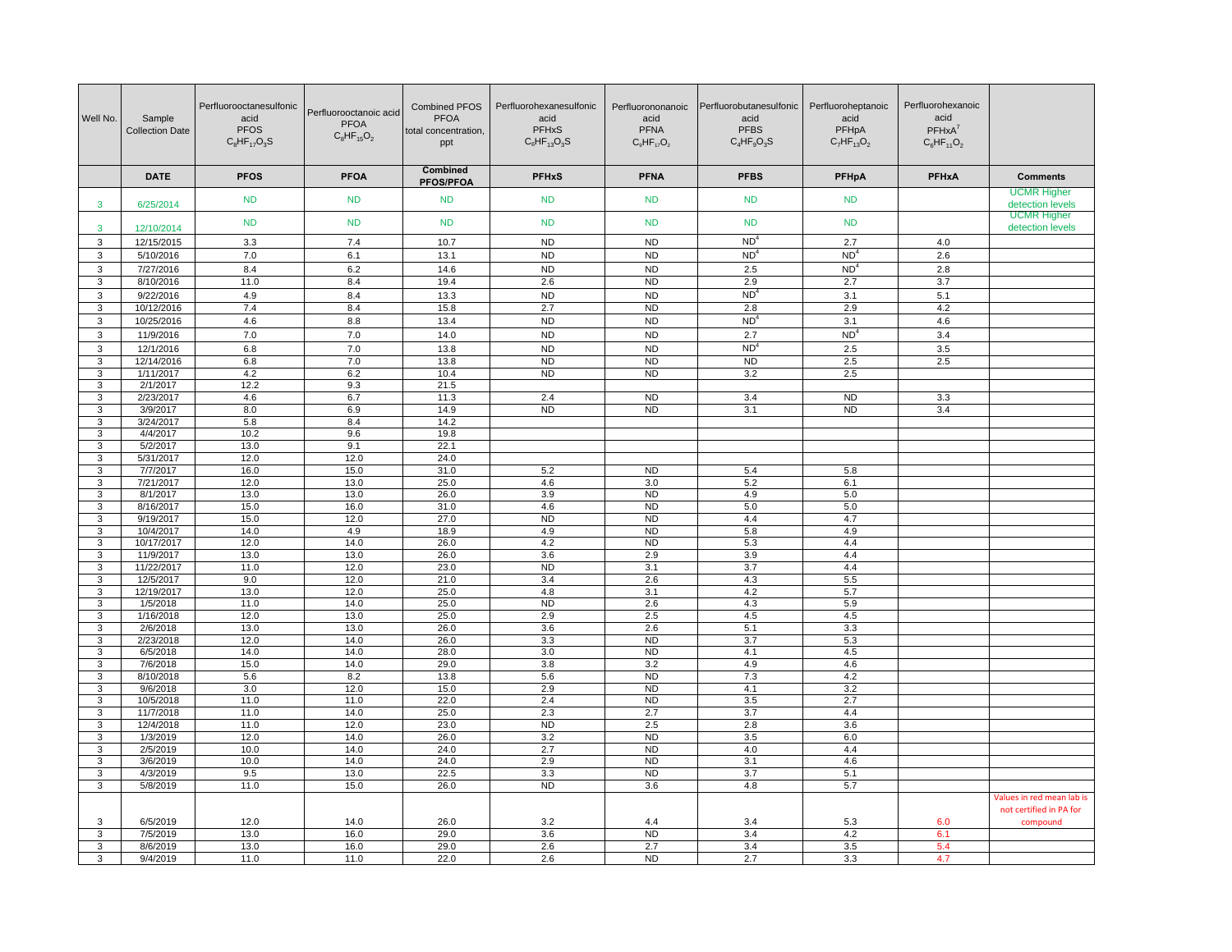| Well No.     | Sample<br><b>Collection Date</b> | Perfluorooctanesulfonic<br>acid<br><b>PFOS</b><br>$C_8$ HF <sub>17</sub> O <sub>3</sub> S | Perfluorooctanoic acid<br><b>PFOA</b><br>$C_8HF_{15}O_2$ | <b>Combined PFOS</b><br><b>PFOA</b><br>total concentration,<br>ppt | Perfluorohexanesulfonic<br>acid<br><b>PFHxS</b><br>$C_6$ HF <sub>13</sub> O <sub>3</sub> S | Perfluorononanoic<br>acid<br><b>PFNA</b><br>$C_9HF_{17}O_2$ | Perfluorobutanesulfonic<br>acid<br><b>PFBS</b><br>$C_4HF_9O_3S$ | Perfluoroheptanoic<br>acid<br>PFHpA<br>$C_7HF_{13}O_2$ | Perfluorohexanoic<br>acid<br>$PFHxA^7$<br>$C_6HF_{11}O_2$ |                                        |
|--------------|----------------------------------|-------------------------------------------------------------------------------------------|----------------------------------------------------------|--------------------------------------------------------------------|--------------------------------------------------------------------------------------------|-------------------------------------------------------------|-----------------------------------------------------------------|--------------------------------------------------------|-----------------------------------------------------------|----------------------------------------|
|              | <b>DATE</b>                      | <b>PFOS</b>                                                                               | <b>PFOA</b>                                              | <b>Combined</b><br><b>PFOS/PFOA</b>                                | <b>PFHxS</b>                                                                               | <b>PFNA</b>                                                 | <b>PFBS</b>                                                     | <b>PFHpA</b>                                           | <b>PFHxA</b>                                              | <b>Comments</b>                        |
| 3            | 6/25/2014                        | <b>ND</b>                                                                                 | <b>ND</b>                                                | <b>ND</b>                                                          | <b>ND</b>                                                                                  | <b>ND</b>                                                   | <b>ND</b>                                                       | <b>ND</b>                                              |                                                           | <b>UCMR</b> Higher<br>detection levels |
| $\mathbf{3}$ | 12/10/2014                       | <b>ND</b>                                                                                 | <b>ND</b>                                                | <b>ND</b>                                                          | <b>ND</b>                                                                                  | <b>ND</b>                                                   | <b>ND</b>                                                       | <b>ND</b>                                              |                                                           | <b>UCMR Higher</b><br>detection levels |
| 3            | 12/15/2015                       | 3.3                                                                                       | 7.4                                                      | 10.7                                                               | <b>ND</b>                                                                                  | <b>ND</b>                                                   | ND <sup>4</sup>                                                 | 2.7                                                    | 4.0                                                       |                                        |
| 3            | 5/10/2016                        | 7.0                                                                                       | 6.1                                                      | 13.1                                                               | <b>ND</b>                                                                                  | <b>ND</b>                                                   | ND <sup>4</sup>                                                 | ND <sup>4</sup>                                        | 2.6                                                       |                                        |
| 3            | 7/27/2016                        | 8.4                                                                                       | 6.2                                                      | 14.6                                                               | <b>ND</b>                                                                                  | <b>ND</b>                                                   | 2.5                                                             | ND <sup>4</sup>                                        | 2.8                                                       |                                        |
| 3            | 8/10/2016                        | 11.0                                                                                      | 8.4                                                      | 19.4                                                               | 2.6                                                                                        | <b>ND</b>                                                   | 2.9                                                             | 2.7                                                    | 3.7                                                       |                                        |
| 3            | 9/22/2016                        | 4.9                                                                                       | 8.4                                                      | 13.3                                                               | <b>ND</b>                                                                                  | <b>ND</b>                                                   | ND <sup>4</sup>                                                 | 3.1                                                    | 5.1                                                       |                                        |
| 3            | 10/12/2016                       | 7.4                                                                                       | 8.4                                                      | 15.8                                                               | 2.7                                                                                        | <b>ND</b>                                                   | 2.8                                                             | 2.9                                                    | 4.2                                                       |                                        |
| 3            | 10/25/2016                       | 4.6                                                                                       | 8.8                                                      | 13.4                                                               | <b>ND</b>                                                                                  | <b>ND</b>                                                   | ND <sup>4</sup>                                                 | 3.1                                                    | 4.6                                                       |                                        |
| 3            | 11/9/2016                        | 7.0                                                                                       | 7.0                                                      | 14.0                                                               | <b>ND</b>                                                                                  | <b>ND</b>                                                   | 2.7                                                             | ND <sup>4</sup>                                        | 3.4                                                       |                                        |
| 3            | 12/1/2016                        | 6.8                                                                                       | 7.0                                                      | 13.8                                                               | <b>ND</b>                                                                                  | <b>ND</b>                                                   | ND <sup>4</sup>                                                 | 2.5                                                    | 3.5                                                       |                                        |
| 3<br>3       | 12/14/2016<br>1/11/2017          | 6.8<br>4.2                                                                                | 7.0<br>6.2                                               | 13.8<br>10.4                                                       | N <sub>D</sub><br><b>ND</b>                                                                | <b>ND</b><br><b>ND</b>                                      | N <sub>D</sub><br>3.2                                           | 2.5<br>2.5                                             | 2.5                                                       |                                        |
| 3            | 2/1/2017                         | 12.2                                                                                      | 9.3                                                      | 21.5                                                               |                                                                                            |                                                             |                                                                 |                                                        |                                                           |                                        |
| 3            | 2/23/2017                        | 4.6                                                                                       | 6.7                                                      | 11.3                                                               | 2.4                                                                                        | <b>ND</b>                                                   | 3.4                                                             | <b>ND</b>                                              | 3.3                                                       |                                        |
| 3            | 3/9/2017                         | 8.0                                                                                       | 6.9                                                      | 14.9                                                               | <b>ND</b>                                                                                  | <b>ND</b>                                                   | 3.1                                                             | <b>ND</b>                                              | 3.4                                                       |                                        |
| 3            | 3/24/2017                        | 5.8                                                                                       | 8.4                                                      | 14.2                                                               |                                                                                            |                                                             |                                                                 |                                                        |                                                           |                                        |
| 3            | 4/4/2017                         | 10.2                                                                                      | 9.6                                                      | 19.8                                                               |                                                                                            |                                                             |                                                                 |                                                        |                                                           |                                        |
| 3            | 5/2/2017                         | 13.0                                                                                      | 9.1                                                      | 22.1                                                               |                                                                                            |                                                             |                                                                 |                                                        |                                                           |                                        |
| 3            | 5/31/2017                        | 12.0                                                                                      | 12.0                                                     | 24.0                                                               |                                                                                            |                                                             |                                                                 |                                                        |                                                           |                                        |
| 3            | 7/7/2017                         | 16.0                                                                                      | 15.0                                                     | 31.0                                                               | 5.2                                                                                        | <b>ND</b>                                                   | 5.4                                                             | 5.8                                                    |                                                           |                                        |
| 3<br>3       | 7/21/2017<br>8/1/2017            | 12.0<br>13.0                                                                              | 13.0                                                     | 25.0<br>26.0                                                       | 4.6                                                                                        | 3.0<br><b>ND</b>                                            | 5.2<br>4.9                                                      | 6.1<br>5.0                                             |                                                           |                                        |
| 3            | 8/16/2017                        | 15.0                                                                                      | 13.0<br>16.0                                             | 31.0                                                               | 3.9<br>4.6                                                                                 | <b>ND</b>                                                   | 5.0                                                             | 5.0                                                    |                                                           |                                        |
| 3            | 9/19/2017                        | 15.0                                                                                      | 12.0                                                     | 27.0                                                               | <b>ND</b>                                                                                  | <b>ND</b>                                                   | 4.4                                                             | 4.7                                                    |                                                           |                                        |
| 3            | 10/4/2017                        | 14.0                                                                                      | 4.9                                                      | 18.9                                                               | 4.9                                                                                        | <b>ND</b>                                                   | 5.8                                                             | 4.9                                                    |                                                           |                                        |
| 3            | 10/17/2017                       | 12.0                                                                                      | 14.0                                                     | 26.0                                                               | 4.2                                                                                        | <b>ND</b>                                                   | 5.3                                                             | 4.4                                                    |                                                           |                                        |
| 3            | 11/9/2017                        | 13.0                                                                                      | 13.0                                                     | 26.0                                                               | 3.6                                                                                        | 2.9                                                         | 3.9                                                             | 4.4                                                    |                                                           |                                        |
| 3            | 11/22/2017                       | 11.0                                                                                      | 12.0                                                     | 23.0                                                               | ND                                                                                         | 3.1                                                         | 3.7                                                             | 4.4                                                    |                                                           |                                        |
| 3            | 12/5/2017                        | 9.0                                                                                       | 12.0                                                     | 21.0                                                               | 3.4                                                                                        | 2.6                                                         | 4.3                                                             | 5.5                                                    |                                                           |                                        |
| 3            | 12/19/2017                       | 13.0                                                                                      | 12.0                                                     | 25.0                                                               | 4.8                                                                                        | 3.1                                                         | 4.2                                                             | 5.7                                                    |                                                           |                                        |
| 3            | 1/5/2018                         | 11.0                                                                                      | 14.0                                                     | 25.0                                                               | <b>ND</b>                                                                                  | 2.6<br>2.5                                                  | 4.3                                                             | 5.9                                                    |                                                           |                                        |
| 3<br>3       | 1/16/2018<br>2/6/2018            | 12.0<br>13.0                                                                              | 13.0<br>13.0                                             | 25.0<br>26.0                                                       | 2.9<br>3.6                                                                                 | 2.6                                                         | 4.5<br>5.1                                                      | 4.5<br>3.3                                             |                                                           |                                        |
| 3            | 2/23/2018                        | 12.0                                                                                      | 14.0                                                     | 26.0                                                               | 3.3                                                                                        | <b>ND</b>                                                   | $\overline{3.7}$                                                | 5.3                                                    |                                                           |                                        |
| 3            | 6/5/2018                         | 14.0                                                                                      | 14.0                                                     | 28.0                                                               | 3.0                                                                                        | <b>ND</b>                                                   | 4.1                                                             | 4.5                                                    |                                                           |                                        |
| 3            | 7/6/2018                         | 15.0                                                                                      | 14.0                                                     | 29.0                                                               | 3.8                                                                                        | 3.2                                                         | 4.9                                                             | 4.6                                                    |                                                           |                                        |
| 3            | 8/10/2018                        | 5.6                                                                                       | 8.2                                                      | 13.8                                                               | 5.6                                                                                        | N <sub>D</sub>                                              | 7.3                                                             | 4.2                                                    |                                                           |                                        |
| 3            | 9/6/2018                         | 3.0                                                                                       | 12.0                                                     | 15.0                                                               | 2.9                                                                                        | <b>ND</b>                                                   | 4.1                                                             | 3.2                                                    |                                                           |                                        |
| 3            | 10/5/2018                        | 11.0                                                                                      | 11.0                                                     | 22.0                                                               | 2.4                                                                                        | ND                                                          | 3.5                                                             | 2.7                                                    |                                                           |                                        |
| 3            | 11/7/2018                        | 11.0                                                                                      | 14.0                                                     | 25.0                                                               | 2.3                                                                                        | 2.7                                                         | 3.7                                                             | 4.4                                                    |                                                           |                                        |
| 3            | 12/4/2018                        | 11.0                                                                                      | 12.0                                                     | 23.0                                                               | <b>ND</b>                                                                                  | 2.5                                                         | 2.8                                                             | 3.6                                                    |                                                           |                                        |
| 3<br>3       | 1/3/2019<br>2/5/2019             | 12.0<br>10.0                                                                              | 14.0<br>14.0                                             | 26.0<br>24.0                                                       | 3.2<br>2.7                                                                                 | ND<br><b>ND</b>                                             | 3.5<br>4.0                                                      | 6.0<br>4.4                                             |                                                           |                                        |
| 3            | 3/6/2019                         | 10.0                                                                                      | 14.0                                                     | 24.0                                                               | 2.9                                                                                        | <b>ND</b>                                                   | 3.1                                                             | 4.6                                                    |                                                           |                                        |
| 3            | 4/3/2019                         | 9.5                                                                                       | 13.0                                                     | 22.5                                                               | 3.3                                                                                        | <b>ND</b>                                                   | 3.7                                                             | 5.1                                                    |                                                           |                                        |
| 3            | 5/8/2019                         | 11.0                                                                                      | 15.0                                                     | 26.0                                                               | <b>ND</b>                                                                                  | 3.6                                                         | 4.8                                                             | 5.7                                                    |                                                           |                                        |
|              |                                  |                                                                                           |                                                          |                                                                    |                                                                                            |                                                             |                                                                 |                                                        |                                                           | Values in red mean lab is              |
|              |                                  |                                                                                           |                                                          |                                                                    |                                                                                            |                                                             |                                                                 |                                                        |                                                           | not certified in PA for                |
| 3            | 6/5/2019                         | 12.0                                                                                      | 14.0                                                     | 26.0                                                               | 3.2                                                                                        | 4.4                                                         | 3.4                                                             | 5.3                                                    | 6.0                                                       | compound                               |
| 3            | 7/5/2019                         | 13.0                                                                                      | 16.0                                                     | 29.0                                                               | 3.6                                                                                        | <b>ND</b>                                                   | 3.4                                                             | 4.2                                                    | 6.1                                                       |                                        |
| 3            | 8/6/2019                         | 13.0                                                                                      | 16.0                                                     | 29.0                                                               | 2.6                                                                                        | 2.7                                                         | 3.4                                                             | 3.5                                                    | 5.4                                                       |                                        |
| 3            | 9/4/2019                         | 11.0                                                                                      | 11.0                                                     | 22.0                                                               | 2.6                                                                                        | <b>ND</b>                                                   | 2.7                                                             | 3.3                                                    | 4.7                                                       |                                        |